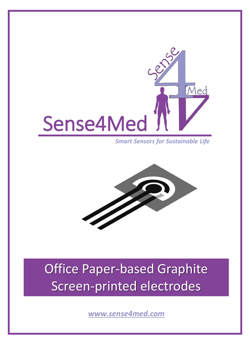

*Smart Sensors for Sustainable Life*



## Office Paper-based Graphite Screen-printed electrodes

*[www.sense4med.com](http://www.sense4med.com/)*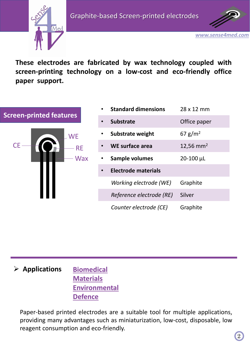

*[www.sense4med.com](http://www.sense4med.com/)*

**These electrodes are fabricated by wax technology coupled with screen-printing technology on a low-cost and eco-friendly office paper support.**

# **Screen-printed features** RE **WE** CE-**Wax**

| <b>Standard dimensions</b> | 28 x 12 mm            |
|----------------------------|-----------------------|
| <b>Substrate</b>           | Office paper          |
| <b>Substrate weight</b>    | 67 g/m <sup>2</sup>   |
| WE surface area            | 12,56 mm <sup>2</sup> |
| Sample volumes             | $20 - 100$ µL         |
| <b>Electrode materials</b> |                       |
| Working electrode (WE)     | Graphite              |
| Reference electrode (RE)   | Silver                |
| Counter electrode (CE)     | Graphite              |

#### ➢ **Applications Biomedical Materials Environmental Defence**

Paper-based printed electrodes are a suitable tool for multiple applications, providing many advantages such as miniaturization, low-cost, disposable, low reagent consumption and eco-friendly.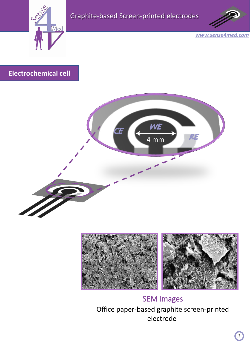



*[www.sense4med.com](http://www.sense4med.com/)*

### **Electrochemical cell**





Office paper-based graphite screen-printed electrode SEM Images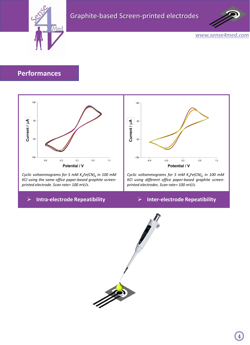



*[www.sense4med.com](http://www.sense4med.com/)*

#### **Performances**



*Cyclic voltammograms for 5 mM K<sup>4</sup> Fe(CN)<sup>6</sup> in 100 mM KCl using the same office paper-based graphite screenprinted electrode. Scan rate= 100 mV/s.*



*Cyclic voltammograms for 5 mM K<sup>4</sup> Fe(CN)<sup>6</sup> in 100 mM KCl using different office paper-based graphite screenprinted electrodes. Scan rate= 100 mV/s.*